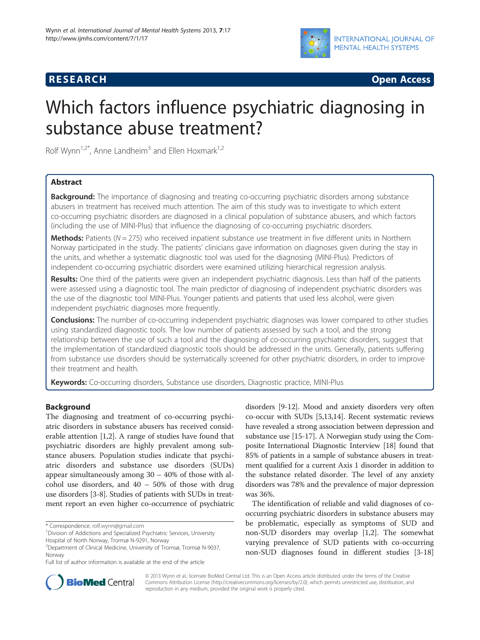



# Which factors influence psychiatric diagnosing in substance abuse treatment?

Rolf Wynn<sup>1,2\*</sup>, Anne Landheim<sup>3</sup> and Ellen Hoxmark<sup>1,2</sup>

# Abstract

**Background:** The importance of diagnosing and treating co-occurring psychiatric disorders among substance abusers in treatment has received much attention. The aim of this study was to investigate to which extent co-occurring psychiatric disorders are diagnosed in a clinical population of substance abusers, and which factors (including the use of MINI-Plus) that influence the diagnosing of co-occurring psychiatric disorders.

**Methods:** Patients ( $N = 275$ ) who received inpatient substance use treatment in five different units in Northern Norway participated in the study. The patients' clinicians gave information on diagnoses given during the stay in the units, and whether a systematic diagnostic tool was used for the diagnosing (MINI-Plus). Predictors of independent co-occurring psychiatric disorders were examined utilizing hierarchical regression analysis.

Results: One third of the patients were given an independent psychiatric diagnosis. Less than half of the patients were assessed using a diagnostic tool. The main predictor of diagnosing of independent psychiatric disorders was the use of the diagnostic tool MINI-Plus. Younger patients and patients that used less alcohol, were given independent psychiatric diagnoses more frequently.

**Conclusions:** The number of co-occurring independent psychiatric diagnoses was lower compared to other studies using standardized diagnostic tools. The low number of patients assessed by such a tool, and the strong relationship between the use of such a tool and the diagnosing of co-occurring psychiatric disorders, suggest that the implementation of standardized diagnostic tools should be addressed in the units. Generally, patients suffering from substance use disorders should be systematically screened for other psychiatric disorders, in order to improve their treatment and health.

Keywords: Co-occurring disorders, Substance use disorders, Diagnostic practice, MINI-Plus

# Background

The diagnosing and treatment of co-occurring psychiatric disorders in substance abusers has received considerable attention [\[1,2](#page-6-0)]. A range of studies have found that psychiatric disorders are highly prevalent among substance abusers. Population studies indicate that psychiatric disorders and substance use disorders (SUDs) appear simultaneously among 30 – 40% of those with alcohol use disorders, and 40 – 50% of those with drug use disorders [\[3-8](#page-6-0)]. Studies of patients with SUDs in treatment report an even higher co-occurrence of psychiatric

disorders [[9](#page-6-0)-[12\]](#page-6-0). Mood and anxiety disorders very often co-occur with SUDs [\[5,13,14](#page-6-0)]. Recent systematic reviews have revealed a strong association between depression and substance use [\[15-17](#page-6-0)]. A Norwegian study using the Composite International Diagnostic Interview [[18](#page-6-0)] found that 85% of patients in a sample of substance abusers in treatment qualified for a current Axis 1 disorder in addition to the substance related disorder. The level of any anxiety disorders was 78% and the prevalence of major depression was 36%.

The identification of reliable and valid diagnoses of cooccurring psychiatric disorders in substance abusers may be problematic, especially as symptoms of SUD and non-SUD disorders may overlap [[1,2\]](#page-6-0). The somewhat varying prevalence of SUD patients with co-occurring non-SUD diagnoses found in different studies [\[3](#page-6-0)-[18](#page-6-0)]



© 2013 Wynn et al.; licensee BioMed Central Ltd. This is an Open Access article distributed under the terms of the Creative Commons Attribution License [\(http://creativecommons.org/licenses/by/2.0\)](http://creativecommons.org/licenses/by/2.0), which permits unrestricted use, distribution, and reproduction in any medium, provided the original work is properly cited.

<sup>\*</sup> Correspondence: [rolf.wynn@gmail.com](mailto:rolf.wynn@gmail.com) <sup>1</sup>

<sup>&</sup>lt;sup>1</sup> Division of Addictions and Specialized Psychiatric Services, University Hospital of North Norway, Tromsø N-9291, Norway

<sup>2</sup> Department of Clinical Medicine, University of Tromsø, Tromsø N-9037, Norway

Full list of author information is available at the end of the article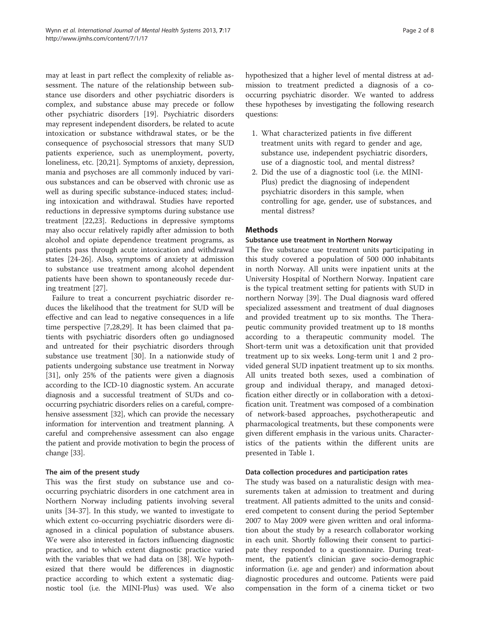may at least in part reflect the complexity of reliable assessment. The nature of the relationship between substance use disorders and other psychiatric disorders is complex, and substance abuse may precede or follow other psychiatric disorders [\[19](#page-6-0)]. Psychiatric disorders may represent independent disorders, be related to acute intoxication or substance withdrawal states, or be the consequence of psychosocial stressors that many SUD patients experience, such as unemployment, poverty, loneliness, etc. [[20](#page-6-0),[21](#page-6-0)]. Symptoms of anxiety, depression, mania and psychoses are all commonly induced by various substances and can be observed with chronic use as well as during specific substance-induced states; including intoxication and withdrawal. Studies have reported reductions in depressive symptoms during substance use treatment [\[22,23\]](#page-6-0). Reductions in depressive symptoms may also occur relatively rapidly after admission to both alcohol and opiate dependence treatment programs, as patients pass through acute intoxication and withdrawal states [\[24-26](#page-6-0)]. Also, symptoms of anxiety at admission to substance use treatment among alcohol dependent patients have been shown to spontaneously recede during treatment [\[27](#page-6-0)].

Failure to treat a concurrent psychiatric disorder reduces the likelihood that the treatment for SUD will be effective and can lead to negative consequences in a life time perspective [[7,28,29\]](#page-6-0). It has been claimed that patients with psychiatric disorders often go undiagnosed and untreated for their psychiatric disorders through substance use treatment [[30\]](#page-6-0). In a nationwide study of patients undergoing substance use treatment in Norway [[31\]](#page-6-0), only 25% of the patients were given a diagnosis according to the ICD-10 diagnostic system. An accurate diagnosis and a successful treatment of SUDs and cooccurring psychiatric disorders relies on a careful, comprehensive assessment [\[32](#page-6-0)], which can provide the necessary information for intervention and treatment planning. A careful and comprehensive assessment can also engage the patient and provide motivation to begin the process of change [\[33](#page-6-0)].

# The aim of the present study

This was the first study on substance use and cooccurring psychiatric disorders in one catchment area in Northern Norway including patients involving several units [[34-37](#page-6-0)]. In this study, we wanted to investigate to which extent co-occurring psychiatric disorders were diagnosed in a clinical population of substance abusers. We were also interested in factors influencing diagnostic practice, and to which extent diagnostic practice varied with the variables that we had data on [[38](#page-6-0)]. We hypothesized that there would be differences in diagnostic practice according to which extent a systematic diagnostic tool (i.e. the MINI-Plus) was used. We also hypothesized that a higher level of mental distress at admission to treatment predicted a diagnosis of a cooccurring psychiatric disorder. We wanted to address these hypotheses by investigating the following research questions:

- 1. What characterized patients in five different treatment units with regard to gender and age, substance use, independent psychiatric disorders, use of a diagnostic tool, and mental distress?
- 2. Did the use of a diagnostic tool (i.e. the MINI-Plus) predict the diagnosing of independent psychiatric disorders in this sample, when controlling for age, gender, use of substances, and mental distress?

# **Methods**

## Substance use treatment in Northern Norway

The five substance use treatment units participating in this study covered a population of 500 000 inhabitants in north Norway. All units were inpatient units at the University Hospital of Northern Norway. Inpatient care is the typical treatment setting for patients with SUD in northern Norway [\[39](#page-7-0)]. The Dual diagnosis ward offered specialized assessment and treatment of dual diagnoses and provided treatment up to six months. The Therapeutic community provided treatment up to 18 months according to a therapeutic community model. The Short-term unit was a detoxification unit that provided treatment up to six weeks. Long-term unit 1 and 2 provided general SUD inpatient treatment up to six months. All units treated both sexes, used a combination of group and individual therapy, and managed detoxification either directly or in collaboration with a detoxification unit. Treatment was composed of a combination of network-based approaches, psychotherapeutic and pharmacological treatments, but these components were given different emphasis in the various units. Characteristics of the patients within the different units are presented in Table [1](#page-2-0).

#### Data collection procedures and participation rates

The study was based on a naturalistic design with measurements taken at admission to treatment and during treatment. All patients admitted to the units and considered competent to consent during the period September 2007 to May 2009 were given written and oral information about the study by a research collaborator working in each unit. Shortly following their consent to participate they responded to a questionnaire. During treatment, the patient's clinician gave socio-demographic information (i.e. age and gender) and information about diagnostic procedures and outcome. Patients were paid compensation in the form of a cinema ticket or two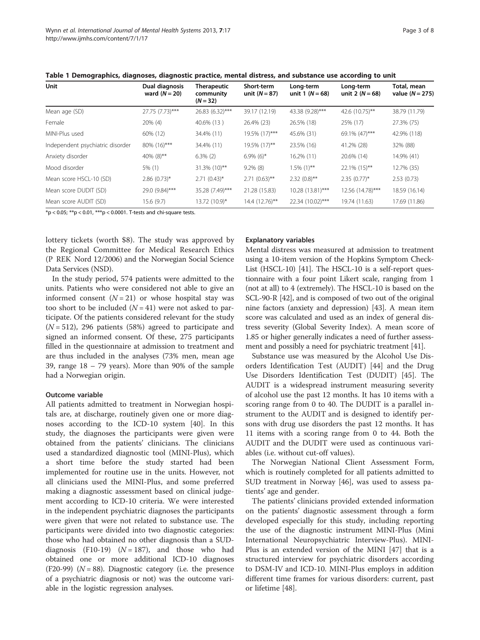| Unit                             | Dual diagnosis<br>ward $(N = 20)$ | <b>Therapeutic</b><br>community<br>$(N = 32)$ | <b>Short-term</b><br>unit $(N = 87)$ | Long-term<br>unit 1 $(N = 68)$ | Long-term<br>unit 2 $(N = 68)$ | Total, mean<br>value $(N = 275)$ |
|----------------------------------|-----------------------------------|-----------------------------------------------|--------------------------------------|--------------------------------|--------------------------------|----------------------------------|
| Mean age (SD)                    | 27.75 (7.73)***                   | 26.83 (6.32)***                               | 39.17 (12.19)                        | 43.38 (9.28)***                | 42.6 (10.75)**                 | 38.79 (11.79)                    |
| Female                           | 20% (4)                           | 40.6% (13)                                    | 26.4% (23)                           | 26.5% (18)                     | 25% (17)                       | 27.3% (75)                       |
| MINI-Plus used                   | 60% (12)                          | 34.4% (11)                                    | 19.5% (17)***                        | 45.6% (31)                     | 69.1% (47)***                  | 42.9% (118)                      |
| Independent psychiatric disorder | 80% (16)***                       | 34.4% (11)                                    | 19.5% (17)**                         | 23.5% (16)                     | 41.2% (28)                     | 32% (88)                         |
| Anxiety disorder                 | 40% $(8)$ **                      | $6.3\%$ (2)                                   | $6.9\%$ (6) <sup>*</sup>             | 16.2% (11)                     | 20.6% (14)                     | 14.9% (41)                       |
| Mood disorder                    | 5% (1)                            | 31.3% (10)**                                  | $9.2\%$ (8)                          | $1.5\%$ (1)**                  | 22.1% (15)**                   | 12.7% (35)                       |
| Mean score HSCL-10 (SD)          | $2.86$ (0.73)*                    | $2.71(0.43)$ *                                | $2.71(0.63)$ **                      | $2.32(0.8)$ **                 | $2.35(0.77)^*$                 | 2.53(0.73)                       |
| Mean score DUDIT (SD)            | 29.0 (9.84)***                    | 35.28 (7.49)***                               | 21.28 (15.83)                        | 10.28 (13.81)***               | 12.56 (14.78)***               | 18.59 (16.14)                    |
| Mean score AUDIT (SD)            | 15.6(9.7)                         | 13.72 (10.9)*                                 | 14.4 (12.76)**                       | 22.34 (10.02)***               | 19.74 (11.63)                  | 17.69 (11.86)                    |

<span id="page-2-0"></span>Table 1 Demographics, diagnoses, diagnostic practice, mental distress, and substance use according to unit

 $*p < 0.05$ ;  $**p < 0.01$ ,  $***p < 0.0001$ . T-tests and chi-square tests.

lottery tickets (worth \$8). The study was approved by the Regional Committee for Medical Research Ethics (P REK Nord 12/2006) and the Norwegian Social Science Data Services (NSD).

In the study period, 574 patients were admitted to the units. Patients who were considered not able to give an informed consent  $(N = 21)$  or whose hospital stay was too short to be included  $(N = 41)$  were not asked to participate. Of the patients considered relevant for the study  $(N = 512)$ , 296 patients (58%) agreed to participate and signed an informed consent. Of these, 275 participants filled in the questionnaire at admission to treatment and are thus included in the analyses (73% men, mean age 39, range 18 – 79 years). More than 90% of the sample had a Norwegian origin.

#### Outcome variable

All patients admitted to treatment in Norwegian hospitals are, at discharge, routinely given one or more diagnoses according to the ICD-10 system [\[40](#page-7-0)]. In this study, the diagnoses the participants were given were obtained from the patients' clinicians. The clinicians used a standardized diagnostic tool (MINI-Plus), which a short time before the study started had been implemented for routine use in the units. However, not all clinicians used the MINI-Plus, and some preferred making a diagnostic assessment based on clinical judgement according to ICD-10 criteria. We were interested in the independent psychiatric diagnoses the participants were given that were not related to substance use. The participants were divided into two diagnostic categories: those who had obtained no other diagnosis than a SUDdiagnosis (F10-19) ( $N = 187$ ), and those who had obtained one or more additional ICD-10 diagnoses  $(F20-99)$   $(N = 88)$ . Diagnostic category (i.e. the presence of a psychiatric diagnosis or not) was the outcome variable in the logistic regression analyses.

## Explanatory variables

Mental distress was measured at admission to treatment using a 10-item version of the Hopkins Symptom Check-List (HSCL-10) [[41](#page-7-0)]. The HSCL-10 is a self-report questionnaire with a four point Likert scale, ranging from 1 (not at all) to 4 (extremely). The HSCL-10 is based on the SCL-90-R [\[42\]](#page-7-0), and is composed of two out of the original nine factors (anxiety and depression) [[43](#page-7-0)]. A mean item score was calculated and used as an index of general distress severity (Global Severity Index). A mean score of 1.85 or higher generally indicates a need of further assessment and possibly a need for psychiatric treatment [\[41\]](#page-7-0).

Substance use was measured by the Alcohol Use Disorders Identification Test (AUDIT) [[44](#page-7-0)] and the Drug Use Disorders Identification Test (DUDIT) [[45](#page-7-0)]. The AUDIT is a widespread instrument measuring severity of alcohol use the past 12 months. It has 10 items with a scoring range from 0 to 40. The DUDIT is a parallel instrument to the AUDIT and is designed to identify persons with drug use disorders the past 12 months. It has 11 items with a scoring range from 0 to 44. Both the AUDIT and the DUDIT were used as continuous variables (i.e. without cut-off values).

The Norwegian National Client Assessment Form, which is routinely completed for all patients admitted to SUD treatment in Norway [[46](#page-7-0)], was used to assess patients' age and gender.

The patients' clinicians provided extended information on the patients' diagnostic assessment through a form developed especially for this study, including reporting the use of the diagnostic instrument MINI-Plus (Mini International Neuropsychiatric Interview-Plus). MINI-Plus is an extended version of the MINI [[47\]](#page-7-0) that is a structured interview for psychiatric disorders according to DSM-IV and ICD-10. MINI-Plus employs in addition different time frames for various disorders: current, past or lifetime [\[48](#page-7-0)].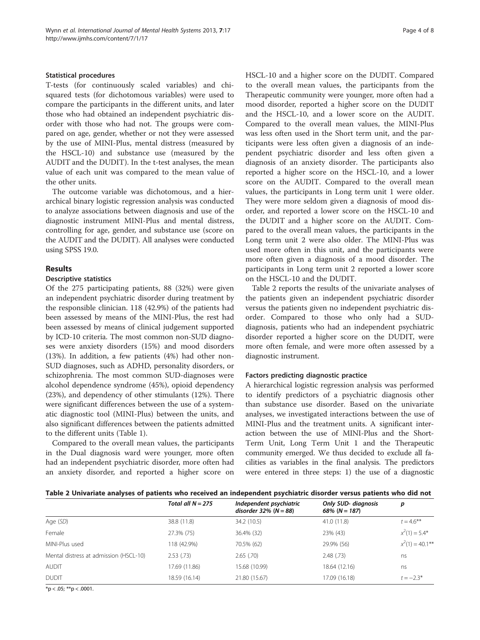#### Statistical procedures

T-tests (for continuously scaled variables) and chisquared tests (for dichotomous variables) were used to compare the participants in the different units, and later those who had obtained an independent psychiatric disorder with those who had not. The groups were compared on age, gender, whether or not they were assessed by the use of MINI-Plus, mental distress (measured by the HSCL-10) and substance use (measured by the AUDIT and the DUDIT). In the t-test analyses, the mean value of each unit was compared to the mean value of the other units.

The outcome variable was dichotomous, and a hierarchical binary logistic regression analysis was conducted to analyze associations between diagnosis and use of the diagnostic instrument MINI-Plus and mental distress, controlling for age, gender, and substance use (score on the AUDIT and the DUDIT). All analyses were conducted using SPSS 19.0.

# Results

# Descriptive statistics

Of the 275 participating patients, 88 (32%) were given an independent psychiatric disorder during treatment by the responsible clinician. 118 (42.9%) of the patients had been assessed by means of the MINI-Plus, the rest had been assessed by means of clinical judgement supported by ICD-10 criteria. The most common non-SUD diagnoses were anxiety disorders (15%) and mood disorders (13%). In addition, a few patients (4%) had other non-SUD diagnoses, such as ADHD, personality disorders, or schizophrenia. The most common SUD-diagnoses were alcohol dependence syndrome (45%), opioid dependency (23%), and dependency of other stimulants (12%). There were significant differences between the use of a systematic diagnostic tool (MINI-Plus) between the units, and also significant differences between the patients admitted to the different units (Table [1\)](#page-2-0).

Compared to the overall mean values, the participants in the Dual diagnosis ward were younger, more often had an independent psychiatric disorder, more often had an anxiety disorder, and reported a higher score on HSCL-10 and a higher score on the DUDIT. Compared to the overall mean values, the participants from the Therapeutic community were younger, more often had a mood disorder, reported a higher score on the DUDIT and the HSCL-10, and a lower score on the AUDIT. Compared to the overall mean values, the MINI-Plus was less often used in the Short term unit, and the participants were less often given a diagnosis of an independent psychiatric disorder and less often given a diagnosis of an anxiety disorder. The participants also reported a higher score on the HSCL-10, and a lower score on the AUDIT. Compared to the overall mean values, the participants in Long term unit 1 were older. They were more seldom given a diagnosis of mood disorder, and reported a lower score on the HSCL-10 and the DUDIT and a higher score on the AUDIT. Compared to the overall mean values, the participants in the Long term unit 2 were also older. The MINI-Plus was used more often in this unit, and the participants were more often given a diagnosis of a mood disorder. The participants in Long term unit 2 reported a lower score on the HSCL-10 and the DUDIT.

Table 2 reports the results of the univariate analyses of the patients given an independent psychiatric disorder versus the patients given no independent psychiatric disorder. Compared to those who only had a SUDdiagnosis, patients who had an independent psychiatric disorder reported a higher score on the DUDIT, were more often female, and were more often assessed by a diagnostic instrument.

#### Factors predicting diagnostic practice

A hierarchical logistic regression analysis was performed to identify predictors of a psychiatric diagnosis other than substance use disorder. Based on the univariate analyses, we investigated interactions between the use of MINI-Plus and the treatment units. A significant interaction between the use of MINI-Plus and the Short-Term Unit, Long Term Unit 1 and the Therapeutic community emerged. We thus decided to exclude all facilities as variables in the final analysis. The predictors were entered in three steps: 1) the use of a diagnostic

| Table 2 Univariate analyses of patients who received an independent psychiatric disorder versus patients who did not |  |
|----------------------------------------------------------------------------------------------------------------------|--|
|----------------------------------------------------------------------------------------------------------------------|--|

|                                        | Total all $N = 275$ | Independent psychiatric<br>disorder $32\%$ (N = 88) | <b>Only SUD- diagnosis</b><br>68% ( $N = 187$ ) | р                  |
|----------------------------------------|---------------------|-----------------------------------------------------|-------------------------------------------------|--------------------|
| Age (SD)                               | 38.8 (11.8)         | 34.2 (10.5)                                         | 41.0 (11.8)                                     | $t = 4.6$ **       |
| Female                                 | 27.3% (75)          | 36.4% (32)                                          | 23% (43)                                        | $x^2(1) = 5.4^*$   |
| MINI-Plus used                         | 118 (42.9%)         | 70.5% (62)                                          | 29.9% (56)                                      | $x^2(1) = 40.1***$ |
| Mental distress at admission (HSCL-10) | 2.53(.73)           | $2.65$ $(.70)$                                      | 2.48(.73)                                       | ns                 |
| <b>AUDIT</b>                           | 17.69 (11.86)       | 15.68 (10.99)                                       | 18.64 (12.16)                                   | ns                 |
| <b>DUDIT</b>                           | 18.59 (16.14)       | 21.80 (15.67)                                       | 17.09 (16.18)                                   | $t = -2.3*$        |
| $- - -$                                |                     |                                                     |                                                 |                    |

 $*$ p < .05;  $*$  $*$ p < .0001.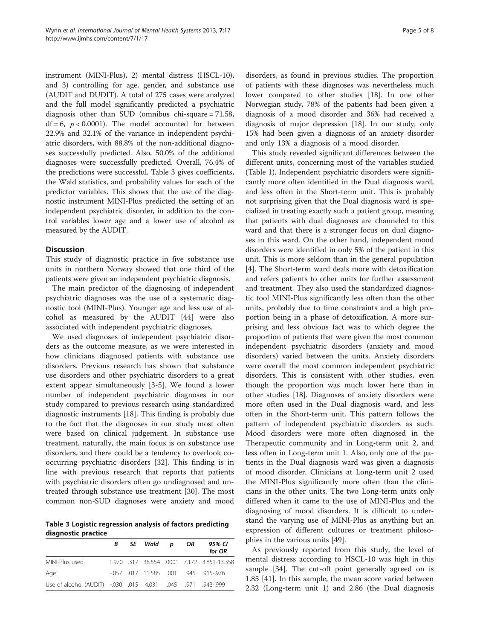instrument (MINI-Plus), 2) mental distress (HSCL-10), and 3) controlling for age, gender, and substance use (AUDIT and DUDIT). A total of 275 cases were analyzed and the full model significantly predicted a psychiatric diagnosis other than SUD (omnibus chi-square = 71.58,  $df = 6$ ,  $p < 0.0001$ ). The model accounted for between 22.9% and 32.1% of the variance in independent psychiatric disorders, with 88.8% of the non-additional diagnoses successfully predicted. Also, 50.0% of the additional diagnoses were successfully predicted. Overall, 76.4% of the predictions were successful. Table 3 gives coefficients, the Wald statistics, and probability values for each of the predictor variables. This shows that the use of the diagnostic instrument MINI-Plus predicted the setting of an independent psychiatric disorder, in addition to the control variables lower age and a lower use of alcohol as measured by the AUDIT.

#### **Discussion**

This study of diagnostic practice in five substance use units in northern Norway showed that one third of the patients were given an independent psychiatric diagnosis.

The main predictor of the diagnosing of independent psychiatric diagnoses was the use of a systematic diagnostic tool (MINI-Plus). Younger age and less use of alcohol as measured by the AUDIT [[44](#page-7-0)] were also associated with independent psychiatric diagnoses.

We used diagnoses of independent psychiatric disorders as the outcome measure, as we were interested in how clinicians diagnosed patients with substance use disorders. Previous research has shown that substance use disorders and other psychiatric disorders to a great extent appear simultaneously [[3-5](#page-6-0)]. We found a lower number of independent psychiatric diagnoses in our study compared to previous research using standardized diagnostic instruments [\[18](#page-6-0)]. This finding is probably due to the fact that the diagnoses in our study most often were based on clinical judgement. In substance use treatment, naturally, the main focus is on substance use disorders, and there could be a tendency to overlook cooccurring psychiatric disorders [[32\]](#page-6-0). This finding is in line with previous research that reports that patients with psychiatric disorders often go undiagnosed and untreated through substance use treatment [[30\]](#page-6-0). The most common non-SUD diagnoses were anxiety and mood

Table 3 Logistic regression analysis of factors predicting diagnostic practice

|                                                               | B. | SE Wald p | OR | 95% CI<br>for OR                           |
|---------------------------------------------------------------|----|-----------|----|--------------------------------------------|
| MINI-Plus used                                                |    |           |    | 1.970 .317 38.554 .0001 7.172 3.851-13.358 |
| Age                                                           |    |           |    | $-0.057$ 0.017 11.585 0.01 945 915-976     |
| 943-999. 971. 945. 015 4.031 015 Use of alcohol (AUDIT) -.030 |    |           |    |                                            |

disorders, as found in previous studies. The proportion of patients with these diagnoses was nevertheless much lower compared to other studies [[18](#page-6-0)]. In one other Norwegian study, 78% of the patients had been given a diagnosis of a mood disorder and 36% had received a diagnosis of major depression [[18](#page-6-0)]. In our study, only 15% had been given a diagnosis of an anxiety disorder and only 13% a diagnosis of a mood disorder.

This study revealed significant differences between the different units, concerning most of the variables studied (Table [1\)](#page-2-0). Independent psychiatric disorders were significantly more often identified in the Dual diagnosis ward, and less often in the Short-term unit. This is probably not surprising given that the Dual diagnosis ward is specialized in treating exactly such a patient group, meaning that patients with dual diagnoses are channeled to this ward and that there is a stronger focus on dual diagnoses in this ward. On the other hand, independent mood disorders were identified in only 5% of the patient in this unit. This is more seldom than in the general population [[4\]](#page-6-0). The Short-term ward deals more with detoxification and refers patients to other units for further assessment and treatment. They also used the standardized diagnostic tool MINI-Plus significantly less often than the other units, probably due to time constraints and a high proportion being in a phase of detoxification. A more surprising and less obvious fact was to which degree the proportion of patients that were given the most common independent psychiatric disorders (anxiety and mood disorders) varied between the units. Anxiety disorders were overall the most common independent psychiatric disorders. This is consistent with other studies, even though the proportion was much lower here than in other studies [[18](#page-6-0)]. Diagnoses of anxiety disorders were more often used in the Dual diagnosis ward, and less often in the Short-term unit. This pattern follows the pattern of independent psychiatric disorders as such. Mood disorders were more often diagnosed in the Therapeutic community and in Long-term unit 2, and less often in Long-term unit 1. Also, only one of the patients in the Dual diagnosis ward was given a diagnosis of mood disorder. Clinicians at Long-term unit 2 used the MINI-Plus significantly more often than the clinicians in the other units. The two Long-term units only differed when it came to the use of MINI-Plus and the diagnosing of mood disorders. It is difficult to understand the varying use of MINI-Plus as anything but an expression of different cultures or treatment philosophies in the various units [[49](#page-7-0)].

As previously reported from this study, the level of mental distress according to HSCL-10 was high in this sample [[34](#page-6-0)]. The cut-off point generally agreed on is 1.85 [\[41\]](#page-7-0). In this sample, the mean score varied between 2.32 (Long-term unit 1) and 2.86 (the Dual diagnosis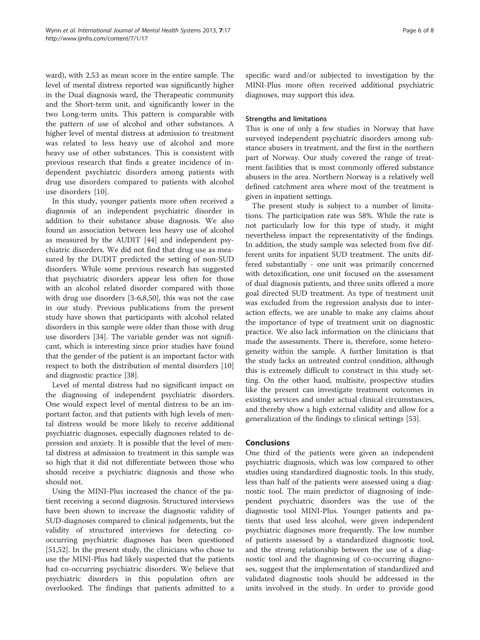ward), with 2.53 as mean score in the entire sample. The level of mental distress reported was significantly higher in the Dual diagnosis ward, the Therapeutic community and the Short-term unit, and significantly lower in the two Long-term units. This pattern is comparable with the pattern of use of alcohol and other substances. A higher level of mental distress at admission to treatment was related to less heavy use of alcohol and more heavy use of other substances. This is consistent with previous research that finds a greater incidence of independent psychiatric disorders among patients with drug use disorders compared to patients with alcohol use disorders [[10\]](#page-6-0).

In this study, younger patients more often received a diagnosis of an independent psychiatric disorder in addition to their substance abuse diagnosis. We also found an association between less heavy use of alcohol as measured by the AUDIT [[44\]](#page-7-0) and independent psychiatric disorders. We did not find that drug use as measured by the DUDIT predicted the setting of non-SUD disorders. While some previous research has suggested that psychiatric disorders appear less often for those with an alcohol related disorder compared with those with drug use disorders [[3-6,8](#page-6-0)[,50\]](#page-7-0), this was not the case in our study. Previous publications from the present study have shown that participants with alcohol related disorders in this sample were older than those with drug use disorders [[34\]](#page-6-0). The variable gender was not significant, which is interesting since prior studies have found that the gender of the patient is an important factor with respect to both the distribution of mental disorders [[10](#page-6-0)] and diagnostic practice [\[38](#page-6-0)].

Level of mental distress had no significant impact on the diagnosing of independent psychiatric disorders. One would expect level of mental distress to be an important factor, and that patients with high levels of mental distress would be more likely to receive additional psychiatric diagnoses, especially diagnoses related to depression and anxiety. It is possible that the level of mental distress at admission to treatment in this sample was so high that it did not differentiate between those who should receive a psychiatric diagnosis and those who should not.

Using the MINI-Plus increased the chance of the patient receiving a second diagnosis. Structured interviews have been shown to increase the diagnostic validity of SUD-diagnoses compared to clinical judgements, but the validity of structured interviews for detecting cooccurring psychiatric diagnoses has been questioned [[51,52\]](#page-7-0). In the present study, the clinicians who chose to use the MINI-Plus had likely suspected that the patients had co-occurring psychiatric disorders. We believe that psychiatric disorders in this population often are overlooked. The findings that patients admitted to a specific ward and/or subjected to investigation by the MINI-Plus more often received additional psychiatric diagnoses, may support this idea.

# Strengths and limitations

This is one of only a few studies in Norway that have surveyed independent psychiatric disorders among substance abusers in treatment, and the first in the northern part of Norway. Our study covered the range of treatment facilities that is most commonly offered substance abusers in the area. Northern Norway is a relatively well defined catchment area where most of the treatment is given in inpatient settings.

The present study is subject to a number of limitations. The participation rate was 58%. While the rate is not particularly low for this type of study, it might nevertheless impact the representativity of the findings. In addition, the study sample was selected from five different units for inpatient SUD treatment. The units differed substantially - one unit was primarily concerned with detoxification, one unit focused on the assessment of dual diagnosis patients, and three units offered a more goal directed SUD treatment. As type of treatment unit was excluded from the regression analysis due to interaction effects, we are unable to make any claims about the importance of type of treatment unit on diagnostic practice. We also lack information on the clinicians that made the assessments. There is, therefore, some heterogeneity within the sample. A further limitation is that the study lacks an untreated control condition, although this is extremely difficult to construct in this study setting. On the other hand, multisite, prospective studies like the present can investigate treatment outcomes in existing services and under actual clinical circumstances, and thereby show a high external validity and allow for a generalization of the findings to clinical settings [\[53\]](#page-7-0).

#### **Conclusions**

One third of the patients were given an independent psychiatric diagnosis, which was low compared to other studies using standardized diagnostic tools. In this study, less than half of the patients were assessed using a diagnostic tool. The main predictor of diagnosing of independent psychiatric disorders was the use of the diagnostic tool MINI-Plus. Younger patients and patients that used less alcohol, were given independent psychiatric diagnoses more frequently. The low number of patients assessed by a standardized diagnostic tool, and the strong relationship between the use of a diagnostic tool and the diagnosing of co-occurring diagnoses, suggest that the implementation of standardized and validated diagnostic tools should be addressed in the units involved in the study. In order to provide good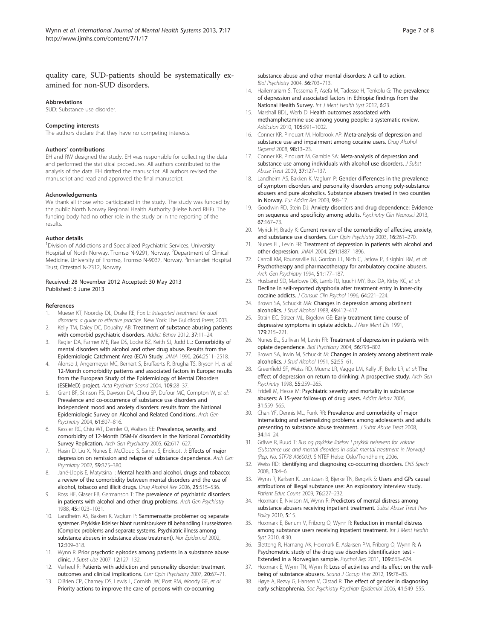## <span id="page-6-0"></span>quality care, SUD-patients should be systematically examined for non-SUD disorders.

#### Abbreviations

SUD: Substance use disorder.

#### Competing interests

The authors declare that they have no competing interests.

#### Authors' contributions

EH and RW designed the study. EH was responsible for collecting the data and performed the statistical procedures. All authors contributed to the analysis of the data. EH drafted the manuscript. All authors revised the manuscript and read and approved the final manuscript.

#### Acknowledgements

We thank all those who participated in the study. The study was funded by the public North Norway Regional Health Authority (Helse Nord RHF). The funding body had no other role in the study or in the reporting of the results.

#### Author details

<sup>1</sup> Division of Addictions and Specialized Psychiatric Services, University Hospital of North Norway, Tromsø N-9291, Norway. <sup>2</sup>Department of Clinical Medicine, University of Tromsø, Tromsø N-9037, Norway. <sup>3</sup>Innlandet Hospital Trust, Ottestad N-2312, Norway.

#### Received: 28 November 2012 Accepted: 30 May 2013 Published: 6 June 2013

#### References

- 1. Mueser KT, Noordsy DL, Drake RE, Fox L: Integrated treatment for dual disorders: a guide to effective practice. New York: The Guildford Press; 2003.
- Kelly TM, Daley DC, Douaihy AB: Treatment of substance abusing patients with comorbid psychiatric disorders. Addict Behav 2012, 37:11–24.
- 3. Regier DA, Farmer ME, Rae DS, Locke BZ, Keith SJ, Judd LL: Comorbidity of mental disorders with alcohol and other drug abuse. Results from the Epidemiologic Catchment Area (ECA) Study. JAMA 1990, 264:2511–2518.
- Alonso J, Angermeyer MC, Bernert S, Bruffaerts R, Brugha TS, Bryson H, et al: 12-Month comorbidity patterns and associated factors in Europe: results from the European Study of the Epidemiology of Mental Disorders (ESEMeD) project. Acta Psychiatr Scand 2004, 109:28–37.
- Grant BF, Stinson FS, Dawson DA, Chou SP, Dufour MC, Compton W, et al: Prevalence and co-occurrence of substance use disorders and independent mood and anxiety disorders: results from the National Epidemiologic Survey on Alcohol and Related Conditions. Arch Gen Psychiatry 2004, 61:807–816.
- 6. Kessler RC, Chiu WT, Demler O, Walters EE: Prevalence, severity, and comorbidity of 12-Month DSM-IV disorders in the National Comorbidity Survey Replication. Arch Gen Psychiatry 2005, 62:617–627.
- Hasin D, Liu X, Nunes E, McCloud S, Samet S, Endicott J: Effects of major depression on remission and relapse of substance dependence. Arch Gen Psychiatry 2002, 59:375–380.
- 8. Jané-Llopis E, Matytsina I: Mental health and alcohol, drugs and tobacco: a review of the comorbidity between mental disorders and the use of alcohol, tobacco and illicit drugs. Drug Alcohol Rev 2006, 25:515–536.
- Ross HE, Glaser FB, Germanson T: The prevalence of psychiatric disorders in patients with alcohol and other drug problems. Arch Gen Psychiatry 1988, 45:1023–1031.
- 10. Landheim AS, Bakken K, Vaglum P: Sammensatte problemer og separate systemer. Psykiske lidelser blant rusmisbrukere til behandling i russektoren (Complex problems and separate systems. Psychiatric illness among substance abusers in substance abuse treatment). Nor Epidemiol 2002, 12:309–318.
- 11. Wynn R: Prior psychotic episodes among patients in a substance abuse clinic. J Subst Use 2007, 12:127–132.
- 12. Verheul R: Patients with addiction and personality disorder: treatment outcomes and clinical implications. Curr Opin Psychiatry 2007, 20:67–71.
- 13. O'Brien CP, Charney DS, Lewis L, Cornish JW, Post RM, Woody GE, et al: Priority actions to improve the care of persons with co-occurring

substance abuse and other mental disorders: A call to action. Biol Psychiatry 2004, 56:703–713.

- 14. Hailemariam S, Tessema F, Asefa M, Tadesse H, Tenkolu G: The prevalence of depression and associated factors in Ethiopia: findings from the National Health Survey. Int J Ment Health Syst 2012, 6:23.
- 15. Marshall BDL, Werb D: Health outcomes associated with methamphetamine use among young people: a systematic review. Addiction 2010, 105:991–1002.
- 16. Conner KR, Pinquart M, Holbrook AP: Meta-analysis of depression and substance use and impairment among cocaine users. Drug Alcohol Depend 2008, 98:13–23.
- 17. Conner KR, Pinguart M, Gamble SA: Meta-analysis of depression and substance use among individuals with alcohol use disorders. *J Subst* Abuse Treat 2009, 37:127–137.
- 18. Landheim AS, Bakken K, Vaglum P: Gender differences in the prevalence of symptom disorders and personality disorders among poly-substance abusers and pure alcoholics. Substance abusers treated in two counties in Norway. Eur Addict Res 2003, 9:8–17.
- 19. Goodwin RD, Stein DJ: Anxiety disorders and drug dependence: Evidence on sequence and specificity among adults. Psychiatry Clin Neurosci 2013, 67:167–73.
- 20. Myrick H, Brady K: Current review of the comorbidity of affective, anxiety, and substance use disorders. Curr Opin Psychiatry 2003, 16:261-270.
- 21. Nunes EL, Levin FR: Treatment of depression in patients with alcohol and other depression. JAMA 2004, 291:1887–1896.
- 22. Carroll KM, Rounsaville BJ, Gordon LT, Nich C, Jatlow P, Bisighini RM, et al: Psychotherapy and pharmacotherapy for ambulatory cocaine abusers. Arch Gen Psychiatry 1994, 51:177–187.
- 23. Husband SD, Marlowe DB, Lamb RJ, Iguchi MY, Bux DA, Kirby KC, et al: Decline in self-reported dysphoria after treatment entry in inner-city cocaine addicts. J Consult Clin Psychol 1996, 64:221–224.
- 24. Brown SA, Schuckit MA: Changes in depression among abstinent alcoholics. J Stud Alcohol 1988, 49:412–417.
- 25. Strain EC, Stitzer ML, Bigelow GE: Early treatment time course of depressive symptoms in opiate addicts. J Nerv Ment Dis 1991, 179:215–221.
- 26. Nunes EL, Sullivan M, Levin FR: Treatment of depression in patients with opiate dependence. Biol Psychiatry 2004, 56:793–802.
- 27. Brown SA, Irwin M, Schuckit M: Changes in anxiety among abstinent male alcoholics. J Stud Alcohol 1991, 52:55–61.
- 28. Greenfield SF, Weiss RD, Muenz LR, Vagge LM, Kelly JF, Bello LR, et al: The effect of depression on return to drinking: A prospective study. Arch Gen Psychiatry 1998, 55:259–265.
- 29. Fridell M, Hesse M: Psychiatric severity and mortality in substance abusers: A 15-year follow-up of drug users. Addict Behav 2006, 31:559–565.
- 30. Chan YF, Dennis ML, Funk RR: Prevalence and comorbidity of major internalizing and externalizing problems among adolescents and adults presenting to substance abuse treatment. J Subst Abuse Treat 2008, 34:14–24.
- 31. Gråwe R, Ruud T: Rus og psykiske lidelser i psykisk helsevern for voksne. (Substance use and mental disorders in adult mental treatment in Norway) (Rep. No. STF78 A06003). SINTEF Helse: Oslo/Trondheim; 2006.
- 32. Weiss RD: Identifying and diagnosing co-occurring disorders. CNS Spectr 2008, 13:4–6.
- 33. Wynn R, Karlsen K, Lorntzsen B, Bjerke TN, Bergvik S: Users and GPs causal attributions of illegal substance use: An exploratory interview study. Patient Educ Couns 2009, 76:227–232.
- 34. Hoxmark E, Nivison M, Wynn R: Predictors of mental distress among substance abusers receiving inpatient treatment. Subst Abuse Treat Prev Policy 2010, 5:15.
- 35. Hoxmark E, Benum V, Friborg O, Wynn R: Reduction in mental distress among substance users receiving inpatient treatment. Int J Ment Health Syst 2010, 4:30.
- 36. Sletteng R, Harnang AK, Hoxmark E, Aslaksen PM, Friborg O, Wynn R: A Psychometric study of the drug use disorders identification test - Extended in a Norwegian sample. Psychol Rep 2011, 109:663–674.
- 37. Hoxmark E, Wynn TN, Wynn R: Loss of activities and its effect on the wellbeing of substance abusers. Scand J Occup Ther 2012, 19:78-83.
- 38. Høye A, Rezvy G, Hansen V, Olstad R: The effect of gender in diagnosing early schizophrenia. Soc Psychiatry Psychiatr Epidemiol 2006, 41:549-555.